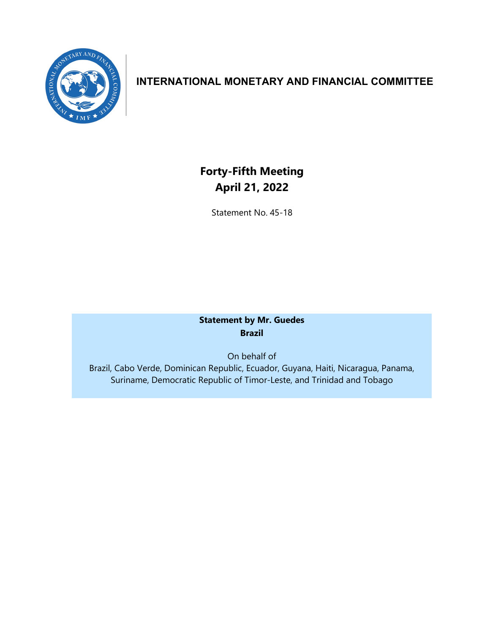

# **INTERNATIONAL MONETARY AND FINANCIAL COMMITTEE**

# **Forty-Fifth Meeting April 21, 2022**

Statement No. 45-18

# **Statement by Mr. Guedes Brazil**

On behalf of Brazil, Cabo Verde, Dominican Republic, Ecuador, Guyana, Haiti, Nicaragua, Panama, Suriname, Democratic Republic of Timor-Leste, and Trinidad and Tobago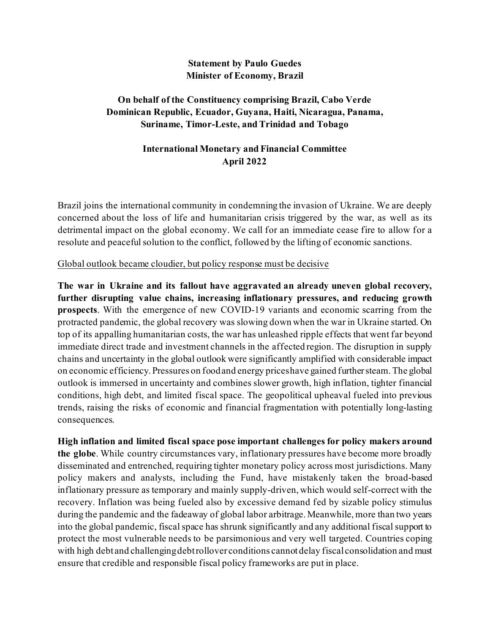#### **Statement by Paulo Guedes Minister of Economy, Brazil**

## **On behalf of the Constituency comprising Brazil, Cabo Verde Dominican Republic, Ecuador, Guyana, Haiti, Nicaragua, Panama, Suriname, Timor-Leste, and Trinidad and Tobago**

# **International Monetary and Financial Committee April 2022**

Brazil joins the international community in condemning the invasion of Ukraine. We are deeply concerned about the loss of life and humanitarian crisis triggered by the war, as well as its detrimental impact on the global economy. We call for an immediate cease fire to allow for a resolute and peaceful solution to the conflict, followed by the lifting of economic sanctions.

#### Global outlook became cloudier, but policy response must be decisive

**The war in Ukraine and its fallout have aggravated an already uneven global recovery, further disrupting value chains, increasing inflationary pressures, and reducing growth prospects**. With the emergence of new COVID-19 variants and economic scarring from the protracted pandemic, the global recovery was slowing down when the war in Ukraine started. On top of its appalling humanitarian costs, the war has unleashed ripple effects that went far beyond immediate direct trade and investment channels in the affected region. The disruption in supply chains and uncertainty in the global outlook were significantly amplified with considerable impact on economic efficiency. Pressures on foodand energy priceshave gained furthersteam.The global outlook is immersed in uncertainty and combines slower growth, high inflation, tighter financial conditions, high debt, and limited fiscal space. The geopolitical upheaval fueled into previous trends, raising the risks of economic and financial fragmentation with potentially long-lasting consequences.

**High inflation and limited fiscal space pose important challenges for policy makers around the globe**. While country circumstances vary, inflationary pressures have become more broadly disseminated and entrenched, requiring tighter monetary policy across most jurisdictions. Many policy makers and analysts, including the Fund, have mistakenly taken the broad-based inflationary pressure as temporary and mainly supply-driven, which would self-correct with the recovery. Inflation was being fueled also by excessive demand fed by sizable policy stimulus during the pandemic and the fadeaway of global labor arbitrage. Meanwhile, more than two years into the global pandemic, fiscal space has shrunk significantly and any additional fiscal support to protect the most vulnerable needs to be parsimonious and very well targeted. Countries coping with high debt and challengingdebtrollover conditions cannotdelay fiscal consolidation and must ensure that credible and responsible fiscal policy frameworks are put in place.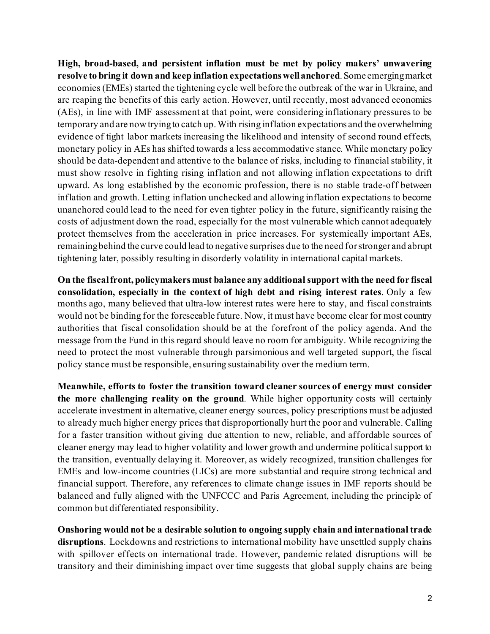**High, broad-based, and persistent inflation must be met by policy makers' unwavering resolve to bring it down and keep inflation expectationswellanchored**. Some emergingmarket economies (EMEs) started the tightening cycle well before the outbreak of the war in Ukraine, and are reaping the benefits of this early action. However, until recently, most advanced economies (AEs), in line with IMF assessment at that point, were considering inflationary pressures to be temporary and are now tryingto catch up.With rising inflation expectations and the overwhelming evidence of tight labor markets increasing the likelihood and intensity of second round effects, monetary policy in AEs has shifted towards a less accommodative stance. While monetary policy should be data-dependent and attentive to the balance of risks, including to financial stability, it must show resolve in fighting rising inflation and not allowing inflation expectations to drift upward. As long established by the economic profession, there is no stable trade-off between inflation and growth. Letting inflation unchecked and allowing inflation expectations to become unanchored could lead to the need for even tighter policy in the future, significantly raising the costs of adjustment down the road, especially for the most vulnerable which cannot adequately protect themselves from the acceleration in price increases. For systemically important AEs, remainingbehind the curve could lead to negative surprises due to the need forstronger and abrupt tightening later, possibly resulting in disorderly volatility in international capital markets.

**On the fiscalfront, policymakers must balance any additionalsupport with the need for fiscal consolidation, especially in the context of high debt and rising interest rates**. Only a few months ago, many believed that ultra-low interest rates were here to stay, and fiscal constraints would not be binding for the foreseeable future. Now, it must have become clear for most country authorities that fiscal consolidation should be at the forefront of the policy agenda. And the message from the Fund in this regard should leave no room for ambiguity. While recognizing the need to protect the most vulnerable through parsimonious and well targeted support, the fiscal policy stance must be responsible, ensuring sustainability over the medium term.

**Meanwhile, efforts to foster the transition toward cleaner sources of energy must consider the more challenging reality on the ground**. While higher opportunity costs will certainly accelerate investment in alternative, cleaner energy sources, policy prescriptions must be adjusted to already much higher energy prices that disproportionally hurt the poor and vulnerable. Calling for a faster transition without giving due attention to new, reliable, and affordable sources of cleaner energy may lead to higher volatility and lower growth and undermine politicalsupport to the transition, eventually delaying it. Moreover, as widely recognized, transition challenges for EMEs and low-income countries (LICs) are more substantial and require strong technical and financial support. Therefore, any references to climate change issues in IMF reports should be balanced and fully aligned with the UNFCCC and Paris Agreement, including the principle of common but differentiated responsibility.

**Onshoring would not be a desirable solution to ongoing supply chain and international trade disruptions**. Lockdowns and restrictions to international mobility have unsettled supply chains with spillover effects on international trade. However, pandemic related disruptions will be transitory and their diminishing impact over time suggests that global supply chains are being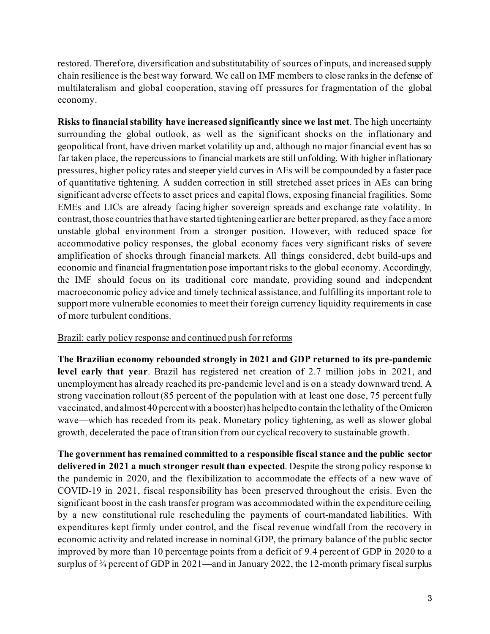restored. Therefore, diversification and substitutability of sources of inputs, and increased supply chain resilience is the best way forward. We call on IMF members to close ranksin the defense of multilateralism and global cooperation, staving off pressures for fragmentation of the global economy.

**Risks to financialstability have increased significantly since we last met**. The high uncertainty surrounding the global outlook, as well as the significant shocks on the inflationary and geopolitical front, have driven market volatility up and, although no major financial event has so far taken place, the repercussions to financial markets are still unfolding. With higher inflationary pressures, higher policy rates and steeper yield curves in AEs will be compounded by a faster pace of quantitative tightening. A sudden correction in still stretched asset prices in AEs can bring significant adverse effects to asset prices and capital flows, exposing financial fragilities. Some EMEs and LICs are already facing higher sovereign spreads and exchange rate volatility. In contrast, those countries that have started tightening earlier are better prepared, as they face a more unstable global environment from a stronger position. However, with reduced space for accommodative policy responses, the global economy faces very significant risks of severe amplification of shocks through financial markets. All things considered, debt build-ups and economic and financial fragmentation pose important risks to the global economy. Accordingly, the IMF should focus on its traditional core mandate, providing sound and independent macroeconomic policy advice and timely technical assistance, and fulfilling its important role to support more vulnerable economies to meet their foreign currency liquidity requirements in case of more turbulent conditions.

#### Brazil: early policy response and continued push for reforms

**The Brazilian economy rebounded strongly in 2021 and GDP returned to its pre-pandemic level early that year**. Brazil has registered net creation of 2.7 million jobs in 2021, and unemployment has already reached its pre-pandemic level and is on a steady downward trend. A strong vaccination rollout (85 percent of the population with at least one dose, 75 percent fully vaccinated, andalmost40 percentwith a booster) has helpedto contain the lethality of the Omicron wave—which has receded from its peak. Monetary policy tightening, as well as slower global growth, decelerated the pace of transition from our cyclical recovery to sustainable growth.

**The government has remained committed to a responsible fiscalstance and the public sector delivered in 2021 a much stronger result than expected**. Despite the strong policy response to the pandemic in 2020, and the flexibilization to accommodate the effects of a new wave of COVID-19 in 2021, fiscal responsibility has been preserved throughout the crisis. Even the significant boost in the cash transfer program was accommodated within the expenditure ceiling, by a new constitutional rule rescheduling the payments of court-mandated liabilities. With expenditures kept firmly under control, and the fiscal revenue windfall from the recovery in economic activity and related increase in nominal GDP, the primary balance of the public sector improved by more than 10 percentage points from a deficit of 9.4 percent of GDP in 2020 to a surplus of <sup>3</sup>/4 percent of GDP in 2021—and in January 2022, the 12-month primary fiscal surplus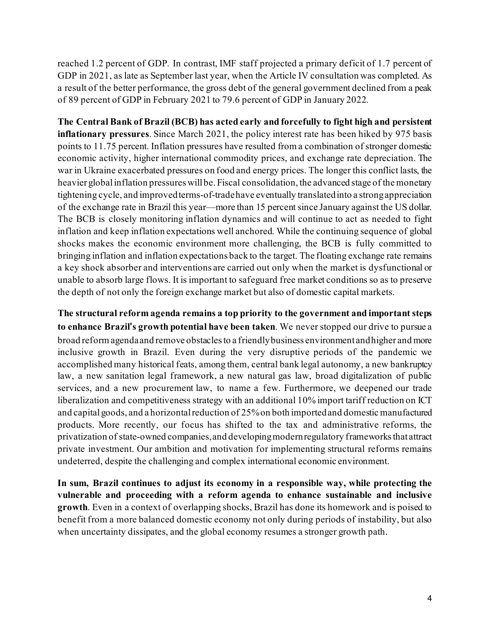reached 1.2 percent of GDP. In contrast, IMF staff projected a primary deficit of 1.7 percent of GDP in 2021, as late as September last year, when the Article IV consultation was completed. As a result of the better performance, the gross debt of the general government declined from a peak of 89 percent of GDP in February 2021 to 79.6 percent of GDP in January 2022.

**The Central Bank of Brazil (BCB) has acted early and forcefully to fight high and persistent inflationary pressures**. Since March 2021, the policy interest rate has been hiked by 975 basis points to 11.75 percent. Inflation pressures have resulted from a combination of stronger domestic economic activity, higher international commodity prices, and exchange rate depreciation. The war in Ukraine exacerbated pressures on food and energy prices. The longer this conflict lasts, the heavier global inflation pressures will be. Fiscal consolidation, the advanced stage of the monetary tightening cycle, and improvedterms-of-tradehave eventually translatedinto a strongappreciation of the exchange rate in Brazil this year—more than 15 percentsince January against the US dollar. The BCB is closely monitoring inflation dynamics and will continue to act as needed to fight inflation and keep inflation expectations well anchored. While the continuing sequence of global shocks makes the economic environment more challenging, the BCB is fully committed to bringing inflation and inflation expectations back to the target. The floating exchange rate remains a key shock absorber and interventions are carried out only when the market is dysfunctional or unable to absorb large flows. It is important to safeguard free market conditions so as to preserve the depth of not only the foreign exchange market but also of domestic capital markets.

**The structural reform agenda remains a top priority to the government and important steps to enhance Brazil**'**s growth potential have been taken**. We never stopped our drive to pursue a broad reform agendaand remove obstaclesto a friendlybusiness environment andhigher and more inclusive growth in Brazil. Even during the very disruptive periods of the pandemic we accomplished many historical feats, among them, central bank legal autonomy, a new bankruptcy law, a new sanitation legal framework, a new natural gas law, broad digitalization of public services, and a new procurement law, to name a few. Furthermore, we deepened our trade liberalization and competitiveness strategy with an additional 10% import tariff reduction on ICT and capital goods, and a horizontal reduction of 25% on both imported and domestic manufactured products. More recently, our focus has shifted to the tax and administrative reforms, the privatization of state-owned companies,and developingmodernregulatory frameworksthat attract private investment. Our ambition and motivation for implementing structural reforms remains undeterred, despite the challenging and complex international economic environment.

**In sum, Brazil continues to adjust its economy in a responsible way, while protecting the vulnerable and proceeding with a reform agenda to enhance sustainable and inclusive growth**. Even in a context of overlapping shocks, Brazil has done its homework and is poised to benefit from a more balanced domestic economy not only during periods of instability, but also when uncertainty dissipates, and the global economy resumes a stronger growth path.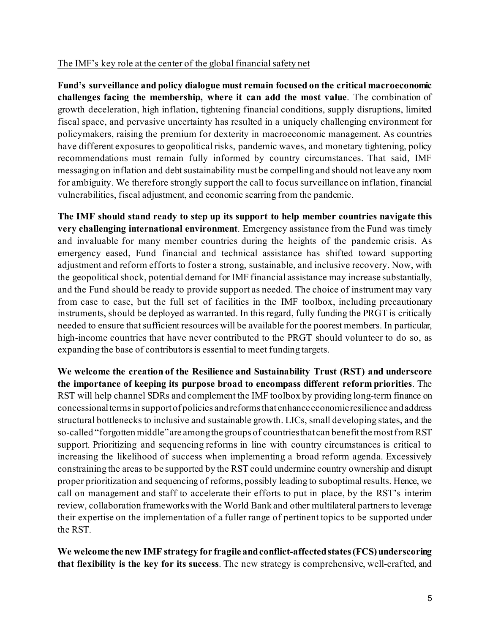### The IMF's key role at the center of the global financial safety net

**Fund's surveillance and policy dialogue must remain focused on the critical macroeconomic challenges facing the membership, where it can add the most value**. The combination of growth deceleration, high inflation, tightening financial conditions, supply disruptions, limited fiscal space, and pervasive uncertainty has resulted in a uniquely challenging environment for policymakers, raising the premium for dexterity in macroeconomic management. As countries have different exposures to geopolitical risks, pandemic waves, and monetary tightening, policy recommendations must remain fully informed by country circumstances. That said, IMF messaging on inflation and debt sustainability must be compelling and should not leave any room for ambiguity. We therefore strongly support the call to focus surveillance on inflation, financial vulnerabilities, fiscal adjustment, and economic scarring from the pandemic.

**The IMF should stand ready to step up its support to help member countries navigate this very challenging international environment**. Emergency assistance from the Fund was timely and invaluable for many member countries during the heights of the pandemic crisis. As emergency eased, Fund financial and technical assistance has shifted toward supporting adjustment and reform efforts to foster a strong, sustainable, and inclusive recovery. Now, with the geopolitical shock, potential demand for IMF financial assistance may increase substantially, and the Fund should be ready to provide support as needed. The choice of instrument may vary from case to case, but the full set of facilities in the IMF toolbox, including precautionary instruments, should be deployed as warranted. In this regard, fully funding the PRGT is critically needed to ensure that sufficient resources will be available for the poorest members. In particular, high-income countries that have never contributed to the PRGT should volunteer to do so, as expanding the base of contributors is essential to meet funding targets.

**We welcome the creation of the Resilience and Sustainability Trust (RST) and underscore the importance of keeping its purpose broad to encompass different reform priorities**. The RST will help channel SDRs and complement the IMF toolbox by providing long-term finance on concessionaltermsin supportof policies andreformsthat enhanceeconomicresilience andaddress structural bottlenecks to inclusive and sustainable growth. LICs, small developing states, and the so-called "forgotten middle"are amongthe groups of countriesthat can benefitthe mostfrom RST support. Prioritizing and sequencing reforms in line with country circumstances is critical to increasing the likelihood of success when implementing a broad reform agenda. Excessively constraining the areas to be supported by the RST could undermine country ownership and disrupt proper prioritization and sequencing of reforms, possibly leading to suboptimal results. Hence, we call on management and staff to accelerate their efforts to put in place, by the RST's interim review, collaboration frameworks with the World Bank and other multilateral partnersto leverage their expertise on the implementation of a fuller range of pertinent topics to be supported under the RST.

**We welcome the new IMF strategy for fragile andconflict-affectedstates(FCS)underscoring that flexibility is the key for its success**. The new strategy is comprehensive, well-crafted, and